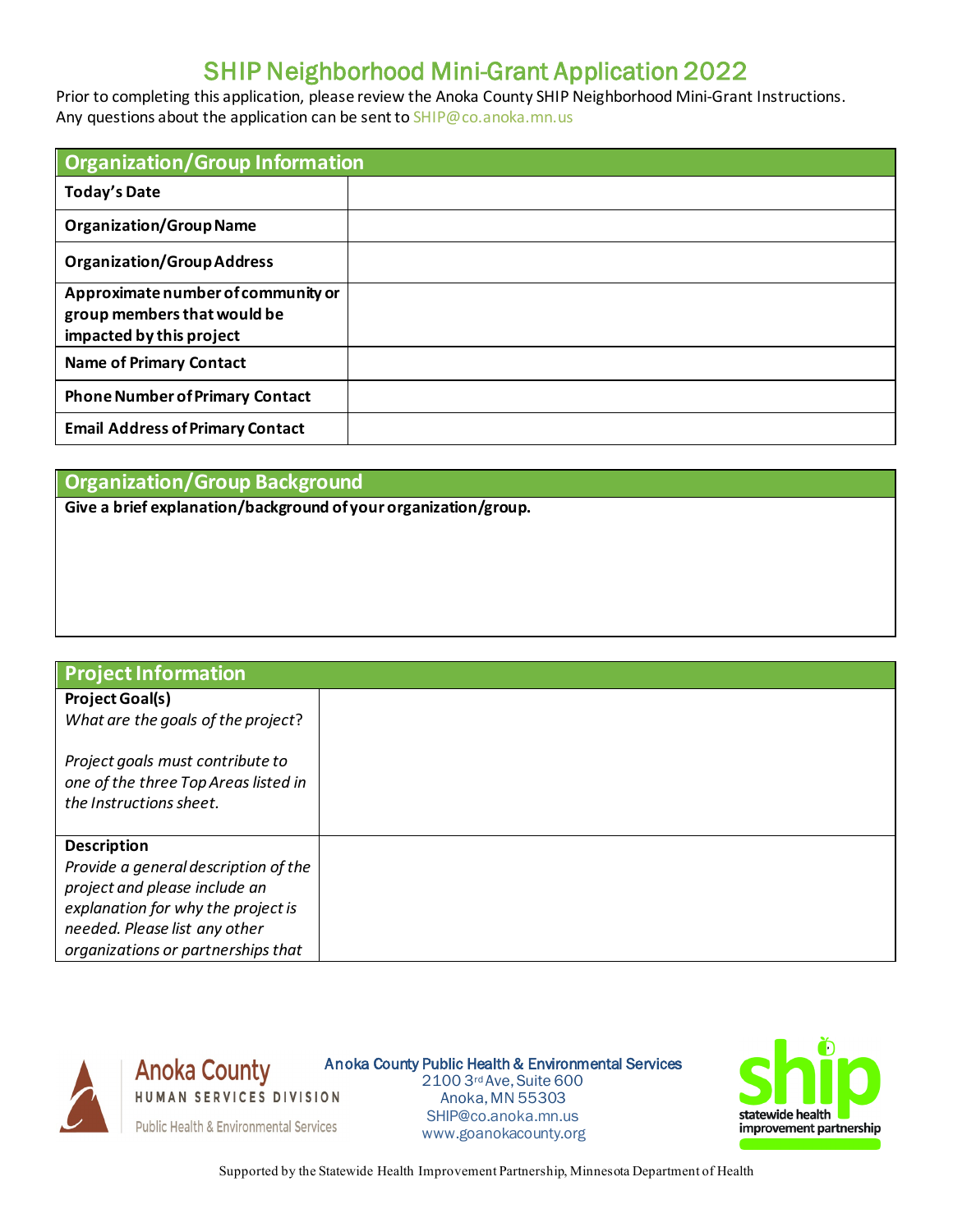## SHIP Neighborhood Mini-Grant Application 2022

Prior to completing this application, please review the Anoka County SHIP Neighborhood Mini-Grant Instructions. Any questions about the application can be sent t[o SHIP@co.anoka.mn.us](mailto:SHIP@co.anoka.mn.us)

| <b>Organization/Group Information</b>                                                         |  |  |
|-----------------------------------------------------------------------------------------------|--|--|
| <b>Today's Date</b>                                                                           |  |  |
| <b>Organization/Group Name</b>                                                                |  |  |
| <b>Organization/Group Address</b>                                                             |  |  |
| Approximate number of community or<br>group members that would be<br>impacted by this project |  |  |
| <b>Name of Primary Contact</b>                                                                |  |  |
| <b>Phone Number of Primary Contact</b>                                                        |  |  |
| <b>Email Address of Primary Contact</b>                                                       |  |  |

## **Organization/Group Background**

**Give a brief explanation/background of your organization/group.**

| <b>Project Information</b>                                                                          |  |
|-----------------------------------------------------------------------------------------------------|--|
| <b>Project Goal(s)</b>                                                                              |  |
| What are the goals of the project?                                                                  |  |
| Project goals must contribute to<br>one of the three Top Areas listed in<br>the Instructions sheet. |  |
| <b>Description</b>                                                                                  |  |
| Provide a general description of the                                                                |  |
| project and please include an                                                                       |  |
| explanation for why the project is                                                                  |  |
| needed. Please list any other                                                                       |  |
| organizations or partnerships that                                                                  |  |



**Anoka County** Anoka County Public Health & Environmental Services HUMAN SERVICES DIVISION

2100 3rd Ave, Suite 600 Anoka, MN 55303 [SHIP@co.anoka.mn.us](mailto:SHIP@co.anoka.mn.us) **Public Health & Environmental Services** [www.goanokacounty.org](http://www.goanokacounty.org/)



Supported by the Statewide Health Improvement Partnership, Minnesota Department of Health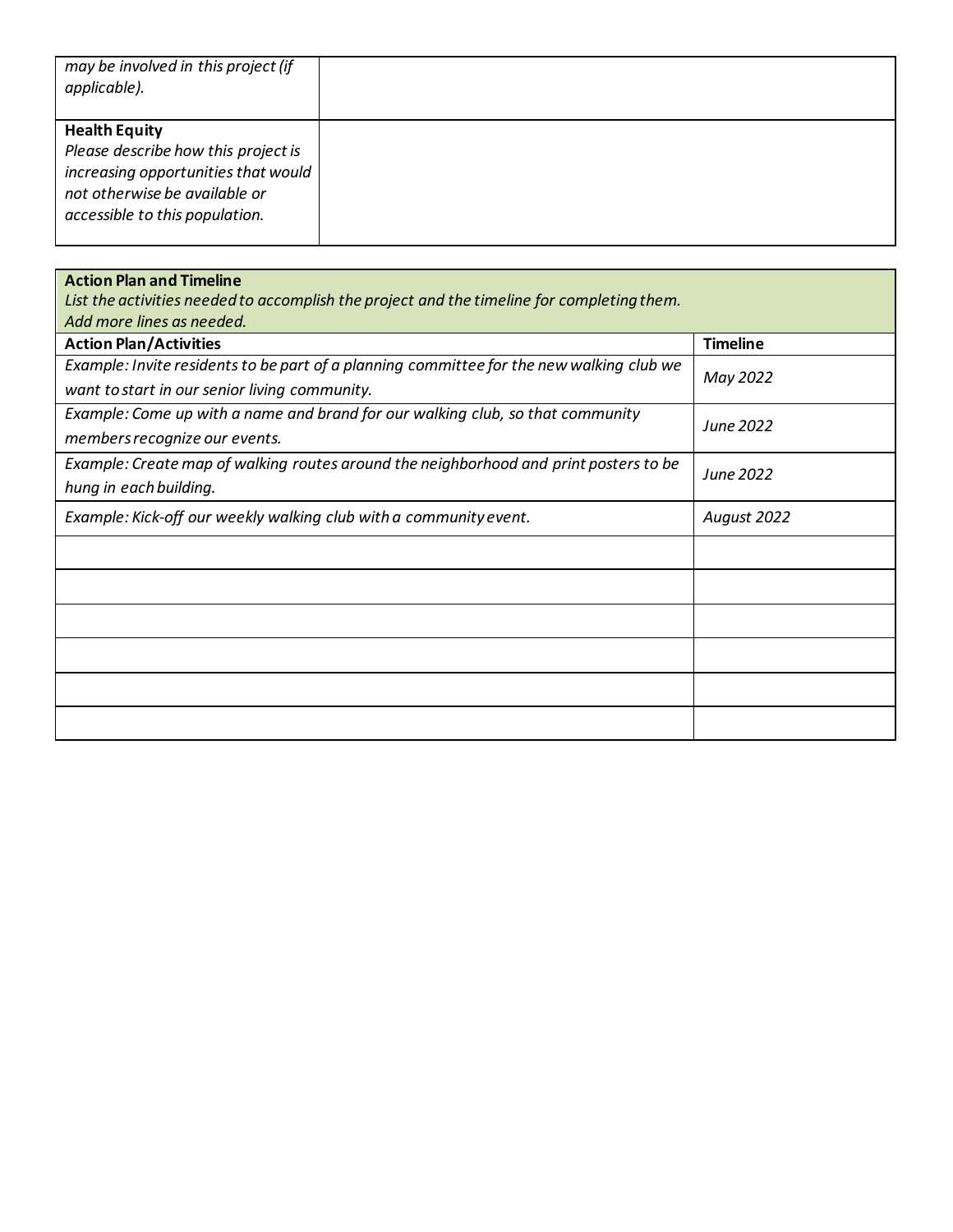| may be involved in this project (if<br>applicable).                                                                                                                   |  |
|-----------------------------------------------------------------------------------------------------------------------------------------------------------------------|--|
| <b>Health Equity</b><br>Please describe how this project is<br>increasing opportunities that would<br>not otherwise be available or<br>accessible to this population. |  |

| List the activities needed to accomplish the project and the timeline for completing them.<br>Add more lines as needed.<br><b>Action Plan/Activities</b><br><b>Timeline</b><br>Example: Invite residents to be part of a planning committee for the new walking club we<br>May 2022<br>want to start in our senior living community.<br>Example: Come up with a name and brand for our walking club, so that community<br>June 2022<br>members recognize our events.<br>Example: Create map of walking routes around the neighborhood and print posters to be<br>June 2022<br>hung in each building.<br>Example: Kick-off our weekly walking club with a community event.<br>August 2022 | <b>Action Plan and Timeline</b> |  |
|------------------------------------------------------------------------------------------------------------------------------------------------------------------------------------------------------------------------------------------------------------------------------------------------------------------------------------------------------------------------------------------------------------------------------------------------------------------------------------------------------------------------------------------------------------------------------------------------------------------------------------------------------------------------------------------|---------------------------------|--|
|                                                                                                                                                                                                                                                                                                                                                                                                                                                                                                                                                                                                                                                                                          |                                 |  |
|                                                                                                                                                                                                                                                                                                                                                                                                                                                                                                                                                                                                                                                                                          |                                 |  |
|                                                                                                                                                                                                                                                                                                                                                                                                                                                                                                                                                                                                                                                                                          |                                 |  |
|                                                                                                                                                                                                                                                                                                                                                                                                                                                                                                                                                                                                                                                                                          |                                 |  |
|                                                                                                                                                                                                                                                                                                                                                                                                                                                                                                                                                                                                                                                                                          |                                 |  |
|                                                                                                                                                                                                                                                                                                                                                                                                                                                                                                                                                                                                                                                                                          |                                 |  |
|                                                                                                                                                                                                                                                                                                                                                                                                                                                                                                                                                                                                                                                                                          |                                 |  |
|                                                                                                                                                                                                                                                                                                                                                                                                                                                                                                                                                                                                                                                                                          |                                 |  |
|                                                                                                                                                                                                                                                                                                                                                                                                                                                                                                                                                                                                                                                                                          |                                 |  |
|                                                                                                                                                                                                                                                                                                                                                                                                                                                                                                                                                                                                                                                                                          |                                 |  |
|                                                                                                                                                                                                                                                                                                                                                                                                                                                                                                                                                                                                                                                                                          |                                 |  |
|                                                                                                                                                                                                                                                                                                                                                                                                                                                                                                                                                                                                                                                                                          |                                 |  |
|                                                                                                                                                                                                                                                                                                                                                                                                                                                                                                                                                                                                                                                                                          |                                 |  |
|                                                                                                                                                                                                                                                                                                                                                                                                                                                                                                                                                                                                                                                                                          |                                 |  |
|                                                                                                                                                                                                                                                                                                                                                                                                                                                                                                                                                                                                                                                                                          |                                 |  |
|                                                                                                                                                                                                                                                                                                                                                                                                                                                                                                                                                                                                                                                                                          |                                 |  |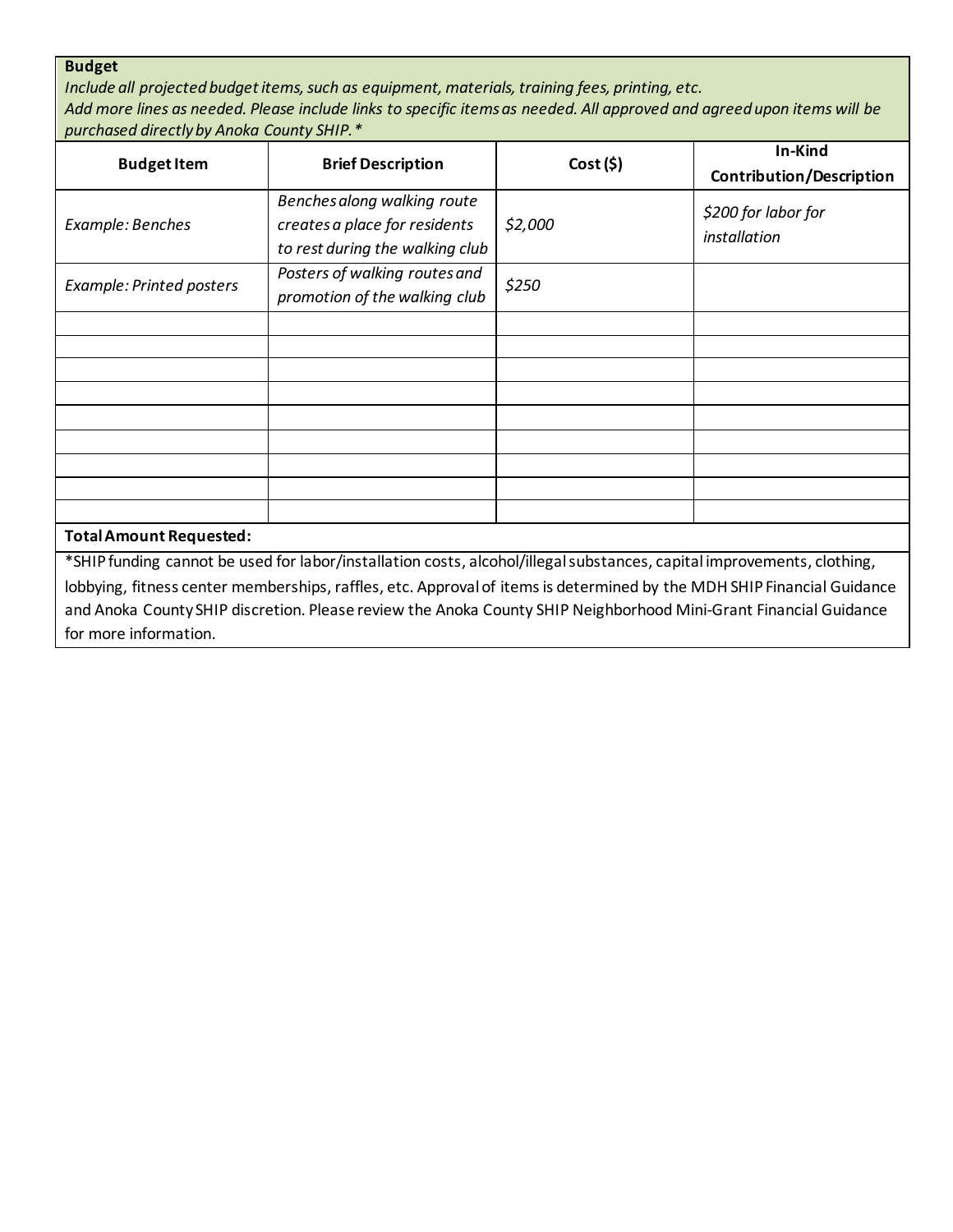## **Budget**

*Include all projected budget items, such as equipment, materials, training fees, printing, etc. Add more lines as needed. Please include links to specific items as needed. All approved and agreed upon items will be purchased directly by Anoka County SHIP.\**

| <b>Budget Item</b>             | <b>Brief Description</b>                                                                                                                                                                                                                                                                                                                                             | Cost(5) | In-Kind<br>Contribution/Description |
|--------------------------------|----------------------------------------------------------------------------------------------------------------------------------------------------------------------------------------------------------------------------------------------------------------------------------------------------------------------------------------------------------------------|---------|-------------------------------------|
| Example: Benches               | Benches along walking route<br>creates a place for residents<br>to rest during the walking club                                                                                                                                                                                                                                                                      | \$2,000 | \$200 for labor for<br>installation |
| Example: Printed posters       | Posters of walking routes and<br>promotion of the walking club                                                                                                                                                                                                                                                                                                       | \$250   |                                     |
|                                |                                                                                                                                                                                                                                                                                                                                                                      |         |                                     |
|                                |                                                                                                                                                                                                                                                                                                                                                                      |         |                                     |
|                                |                                                                                                                                                                                                                                                                                                                                                                      |         |                                     |
|                                |                                                                                                                                                                                                                                                                                                                                                                      |         |                                     |
|                                |                                                                                                                                                                                                                                                                                                                                                                      |         |                                     |
|                                |                                                                                                                                                                                                                                                                                                                                                                      |         |                                     |
|                                |                                                                                                                                                                                                                                                                                                                                                                      |         |                                     |
| <b>Total Amount Requested:</b> |                                                                                                                                                                                                                                                                                                                                                                      |         |                                     |
|                                | *SHIP funding cannot be used for labor/installation costs, alcohol/illegal substances, capital improvements, clothing,<br>lobbying, fitness center memberships, raffles, etc. Approval of items is determined by the MDH SHIP Financial Guidance<br>and Anoka County SHIP discretion. Please review the Anoka County SHIP Neighborhood Mini-Grant Financial Guidance |         |                                     |

for more information.